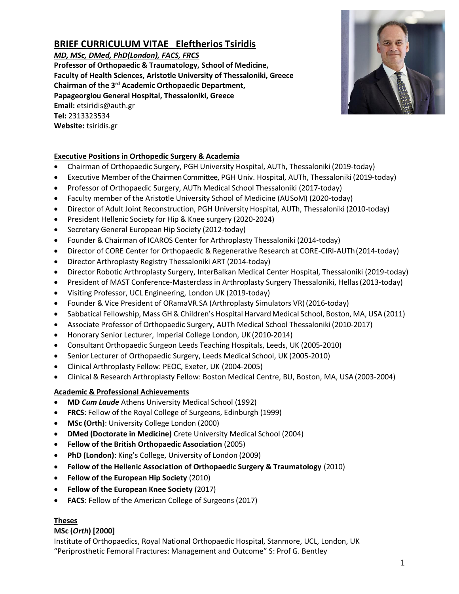# **BRIEF CURRICULUM VITAE Eleftherios Tsiridis**

*MD, MSc, DMed, PhD(London), FACS, FRCS*

**Professor of Orthopaedic & Traumatology, School of Medicine, Faculty of Health Sciences, Aristotle University of Thessaloniki, Greece Chairman of the 3rd Academic Orthopaedic Department, Papageorgiou General Hospital, Thessaloniki, Greece Email:** etsiridis@auth.gr **Tel:** 2313323534 **Website:** tsiridis.gr



- Chairman of Orthopaedic Surgery, PGH University Hospital, AUTh, Thessaloniki (2019-today)
- Executive Member of the Chairmen Committee, PGH Univ. Hospital, AUTh, Thessaloniki (2019-today)
- Professor of Orthopaedic Surgery, AUTh Medical School Thessaloniki (2017-today)
- Faculty member of the Aristotle University School of Medicine (AUSoM) (2020-today)
- Director of Adult Joint Reconstruction, PGH University Hospital, AUTh, Thessaloniki (2010-today)
- President Hellenic Society for Hip & Knee surgery (2020-2024)
- Secretary General European Hip Society (2012-today)
- Founder & Chairman of ICAROS Center for Arthroplasty Thessaloniki (2014-today)
- Director of CORE Center for Orthopaedic & Regenerative Research at CORE-CIRI-AUTh (2014-today)
- Director Arthroplasty Registry Thessaloniki ART (2014-today)
- Director Robotic Arthroplasty Surgery, InterBalkan Medical Center Hospital, Thessaloniki (2019-today)
- President of MAST Conference-Masterclass in Arthroplasty Surgery Thessaloniki, Hellas (2013-today)
- Visiting Professor, UCL Engineering, London UK (2019-today)
- Founder & Vice President of ORamaVR.SA (Arthroplasty Simulators VR)(2016-today)
- Sabbatical Fellowship, Mass GH&Children's Hospital Harvard Medical School, Boston, MA, USA (2011)
- Associate Professor of Orthopaedic Surgery, AUTh Medical School Thessaloniki (2010-2017)
- Honorary Senior Lecturer, Imperial College London, UK (2010-2014)
- Consultant Orthopaedic Surgeon Leeds Teaching Hospitals, Leeds, UK (2005-2010)
- Senior Lecturer of Orthopaedic Surgery, Leeds Medical School, UK (2005-2010)
- Clinical Arthroplasty Fellow: PEOC, Exeter, UK (2004-2005)
- Clinical & Research Arthroplasty Fellow: Boston Medical Centre, BU, Boston, MA, USA (2003-2004)

## **Academic & Professional Achievements**

- **MD** *Cum Laude* Athens University Medical School (1992)
- **FRCS**: Fellow of the Royal College of Surgeons, Edinburgh (1999)
- **MSc (Orth)**: University College London (2000)
- **DMed (Doctorate in Medicine)** Crete University Medical School (2004)
- **Fellow of the British Orthopaedic Association** (2005)
- **PhD (London)**: King's College, University of London (2009)
- **Fellow of the Hellenic Association of Orthopaedic Surgery & Traumatology** (2010)
- **Fellow of the European Hip Society** (2010)
- **Fellow of the European Knee Society** (2017)
- **FACS**: Fellow of the American College of Surgeons (2017)

## **Theses**

## **MSc (***Orth***) [2000]**

Institute of Orthopaedics, Royal National Orthopaedic Hospital, Stanmore, UCL, London, UK "Periprosthetic Femoral Fractures: Management and Outcome" S: Prof G. Bentley

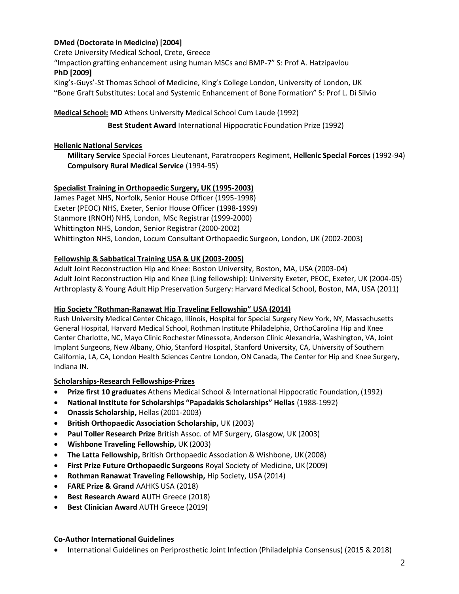## **DMed (Doctorate in Medicine) [2004]**

Crete University Medical School, Crete, Greece

"Impaction grafting enhancement using human MSCs and BMP-7" S: Prof A. Hatzipavlou **PhD [2009]**

King's-Guys'-St Thomas School of Medicine, King's College London, University of London, UK "Bone Graft Substitutes: Local and Systemic Enhancement of Bone Formation" S: Prof L. Di Silvio

## **Medical School: MD** Athens University Medical School Cum Laude (1992)

**Best Student Award** International Hippocratic Foundation Prize (1992)

## **Hellenic National Services**

**Military Service** Special Forces Lieutenant, Paratroopers Regiment, **Hellenic Special Forces** (1992-94) **Compulsory Rural Medical Service** (1994-95)

## **Specialist Training in Orthopaedic Surgery, UK (1995-2003)**

James Paget NHS, Norfolk, Senior House Officer (1995-1998) Exeter (PEOC) NHS, Exeter, Senior House Officer (1998-1999) Stanmore (RNOH) NHS, London, MSc Registrar (1999-2000) Whittington NHS, London, Senior Registrar (2000-2002) Whittington NHS, London, Locum Consultant Orthopaedic Surgeon, London, UK (2002-2003)

## **Fellowship & Sabbatical Training USA & UK (2003-2005)**

Adult Joint Reconstruction Hip and Knee: Boston University, Boston, MA, USA (2003-04) Adult Joint Reconstruction Hip and Knee (Ling fellowship): University Exeter, PEOC, Exeter, UK (2004-05) Arthroplasty & Young Adult Hip Preservation Surgery: Harvard Medical School, Boston, MA, USA (2011)

#### **Hip Society "Rothman-Ranawat Hip Traveling Fellowship" USA (2014)**

Rush University Medical Center Chicago, Illinois, Hospital for Special Surgery New York, NY, Massachusetts General Hospital, Harvard Medical School, Rothman Institute Philadelphia, OrthoCarolina Hip and Knee Center Charlotte, NC, Mayo Clinic Rochester Minessota, Anderson Clinic Alexandria, Washington, VA, Joint Implant Surgeons, New Albany, Ohio, Stanford Hospital, Stanford University, CA, University of Southern California, LA, CA, London Health Sciences Centre London, ON Canada, The Center for Hip and Knee Surgery, Indiana IN.

## **Scholarships-Research Fellowships-Prizes**

- **Prize first 10 graduates** Athens Medical School & International Hippocratic Foundation, (1992)
- **National Institute for Scholarships "Papadakis Scholarships" Hellas** (1988-1992)
- **Onassis Scholarship,** Hellas (2001-2003)
- **British Orthopaedic Association Scholarship,** UK (2003)
- **Paul Toller Research Prize** British Assoc. of MF Surgery, Glasgow, UK (2003)
- **Wishbone Traveling Fellowship,** UK (2003)
- **The Latta Fellowship,** British Orthopaedic Association & Wishbone, UK(2008)
- **First Prize Future Orthopaedic Surgeons** Royal Society of Medicine**,** UK(2009)
- **Rothman Ranawat Traveling Fellowship,** Hip Society, USA (2014)
- **FARE Prize & Grand** AAHKS USA (2018)
- **Best Research Award** AUTH Greece (2018)
- **Best Clinician Award** AUTH Greece (2019)

#### **Co-Author International Guidelines**

International Guidelines on Periprosthetic Joint Infection (Philadelphia Consensus) (2015 & 2018)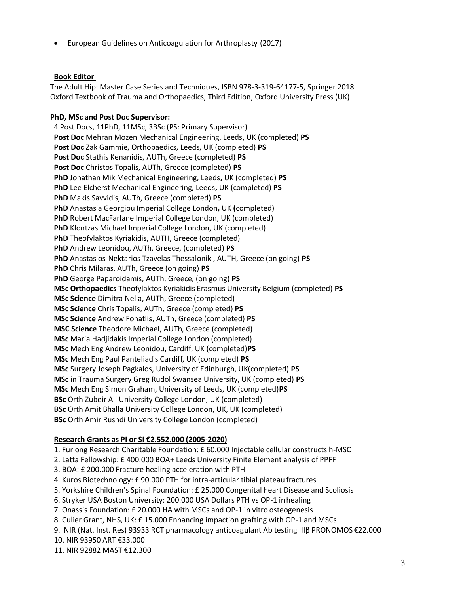• European Guidelines on Anticoagulation for Arthroplasty (2017)

#### **Book Editor**

The Adult Hip: Master Case Series and Techniques, ISBN 978-3-319-64177-5, Springer 2018 Oxford Textbook of Trauma and Orthopaedics, Third Edition, Oxford University Press (UK)

## **PhD, MSc and Post Doc Supervisor:**

4 Post Docs, 11PhD, 11MSc, 3BSc (PS: Primary Supervisor) **Post Doc** Mehran Mozen Mechanical Engineering, Leeds**,** UK (completed) **PS Post Doc** Zak Gammie, Orthopaedics, Leeds, UK (completed) **PS Post Doc** Stathis Kenanidis, AUTh, Greece (completed) **PS Post Doc** Christos Topalis, AUTh, Greece (completed) **PS PhD** Jonathan Mik Mechanical Engineering, Leeds**,** UK (completed) **PS PhD** Lee Elcherst Mechanical Engineering, Leeds**,** UK (completed) **PS PhD** Makis Savvidis, AUTh, Greece (completed) **PS PhD** Anastasia Georgiou Imperial College London**,** UK **(**completed) **PhD** Robert MacFarlane Imperial College London, UK (completed) **PhD** Klontzas Michael Imperial College London, UK (completed) **PhD** Theofylaktos Kyriakidis, AUTH, Greece (completed) **PhD** Andrew Leonidou, AUTh, Greece, (completed) **PS PhD** Anastasios-Nektarios Tzavelas Thessaloniki, AUTH, Greece (on going) **PS PhD** Chris Milaras, AUTh, Greece (on going) **PS PhD** George Paparoidamis, AUTh, Greece, (on going) **PS MSc Orthopaedics** Theofylaktos Kyriakidis Erasmus University Belgium (completed) **PS MSc Science** Dimitra Nella, AUTh, Greece (completed) **MSc Science** Chris Topalis, AUTh, Greece (completed) **PS MSc Science** Andrew Fonatlis, AUTh, Greece (completed) **PS MSC Science** Theodore Michael, AUTh, Greece (completed) **MSc** Maria Hadjidakis Imperial College London (completed) **MSc** Mech Eng Andrew Leonidou, Cardiff, UK (completed)**PS MSc** Mech Eng Paul Panteliadis Cardiff, UK (completed) **PS MSc** Surgery Joseph Pagkalos, University of Edinburgh, UK(completed) **PS MSc** in Trauma Surgery Greg Rudol Swansea University, UK (completed) **PS MSc** Mech Eng Simon Graham, University of Leeds, UK (completed)**PS BSc** Orth Zubeir Ali University College London, UK (completed) **BSc** Orth Amit Bhalla University College London, UK, UK (completed) **BSc** Orth Amir Rushdi University College London (completed)

#### **Research Grants as PI or SI €2.552.000 (2005-2020)**

1. Furlong Research Charitable Foundation: £ 60.000 Injectable cellular constructs h-MSC

- 2. Latta Fellowship: £ 400.000 BOA+ Leeds University Finite Element analysis of PPFF
- 3. BOA: £ 200.000 Fracture healing acceleration with PTH
- 4. Kuros Biotechnology: £ 90.000 PTH for intra-articular tibial plateau fractures
- 5. Yorkshire Children's Spinal Foundation: £ 25.000 Congenital heart Disease and Scoliosis
- 6. Stryker USA Boston University: 200.000 USA Dollars PTH vs OP-1 inhealing
- 7. Onassis Foundation: £ 20.000 HA with MSCs and OP-1 in vitro osteogenesis
- 8. Culier Grant, NHS, UK: £ 15.000 Enhancing impaction grafting with OP-1 and MSCs
- 9. NIR (Nat. Inst. Res) 93933 RCT pharmacology anticoagulant Ab testing ΙΙΙβ PRONOMOS €22.000
- 10. NIR 93950 ART €33.000
- 11. NIR 92882 MAST €12.300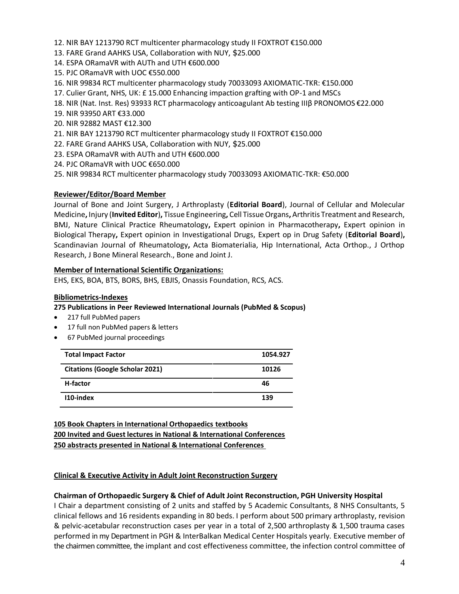- 12. NIR BAY 1213790 RCT multicenter pharmacology study II FOXTROT €150.000
- 13. FARE Grand AAHKS USA, Collaboration with NUY, \$25.000
- 14. ESPA ORamaVR with AUTh and UTH €600.000
- 15. PJC ORamaVR with UOC €550.000
- 16. NIR 99834 RCT multicenter pharmacology study 70033093 AXIOMATIC-TKR: €150.000
- 17. Culier Grant, NHS, UK: £ 15.000 Enhancing impaction grafting with OP-1 and MSCs
- 18. NIR (Nat. Inst. Res) 93933 RCT pharmacology anticoagulant Ab testing ΙΙΙβ PRONOMOS €22.000
- 19. NIR 93950 ART €33.000
- 20. NIR 92882 MAST €12.300
- 21. NIR BAY 1213790 RCT multicenter pharmacology study II FOXTROT €150.000
- 22. FARE Grand AAHKS USA, Collaboration with NUY, \$25.000
- 23. ESPA ORamaVR with AUTh and UTH €600.000
- 24. PJC ORamaVR with UOC €650.000
- 25. NIR 99834 RCT multicenter pharmacology study 70033093 AXIOMATIC-TKR: €50.000

## **Reviewer/Editor/Board Member**

Journal of Bone and Joint Surgery, J Arthroplasty (**Editorial Board**), Journal of Cellular and Molecular Medicine**,** Injury (**Invited Editor**)**,** Tissue Engineering**,** Cell Tissue Organs**,** Arthritis Treatment and Research, BMJ, Nature Clinical Practice Rheumatology**,** Expert opinion in Pharmacotherapy**,** Expert opinion in Biological Therapy**,** Expert opinion in Investigational Drugs, Expert op in Drug Safety (**Editorial Board**)**,**  Scandinavian Journal of Rheumatology**,** Acta Biomaterialia, Hip International, Acta Orthop., J Orthop Research, J Bone Mineral Research., Bone and Joint J.

## **Member of International Scientific Organizations:**

EHS, EKS, BOA, BTS, BORS, BHS, EBJIS, Onassis Foundation, RCS, ACS.

#### **Bibliometrics-Indexes**

#### **275 Publications in Peer Reviewed International Journals (PubMed & Scopus)**

- 217 full PubMed papers
- 17 full non PubMed papers & letters
- 67 PubMed journal proceedings

| <b>Total Impact Factor</b>             | 1054.927 |
|----------------------------------------|----------|
| <b>Citations (Google Scholar 2021)</b> | 10126    |
| H-factor                               | 46       |
| 110-index                              | 139      |

 **105 Book Chapters in International Orthopaedics textbooks 200 Invited and Guest lectures in National & International Conferences 250 abstracts presented in National & International Conferences** 

#### **Clinical & Executive Activity in Adult Joint Reconstruction Surgery**

#### **Chairman of Orthopaedic Surgery & Chief of Adult Joint Reconstruction, PGH University Hospital**

I Chair a department consisting of 2 units and staffed by 5 Academic Consultants, 8 NHS Consultants, 5 clinical fellows and 16 residents expanding in 80 beds. I perform about 500 primary arthroplasty, revision & pelvic-acetabular reconstruction cases per year in a total of 2,500 arthroplasty & 1,500 trauma cases performed in my Department in PGH & InterBalkan Medical Center Hospitals yearly. Executive member of the chairmen committee, the implant and cost effectiveness committee, the infection control committee of